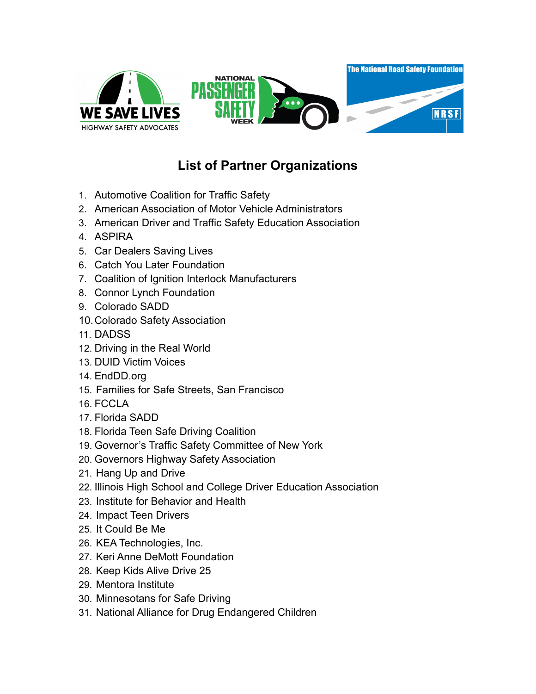

## **List of Partner Organizations**

- 1. Automotive Coalition for Traffic Safety
- 2. American Association of Motor Vehicle Administrators
- 3. American Driver and Traffic Safety Education Association
- 4. ASPIRA
- 5. Car Dealers Saving Lives
- 6. Catch You Later Foundation
- 7. Coalition of Ignition Interlock Manufacturers
- 8. Connor Lynch Foundation
- 9. Colorado SADD
- 10.Colorado Safety Association
- 11. DADSS
- 12. Driving in the Real World
- 13. DUID Victim Voices
- 14. EndDD.org
- 15. Families for Safe Streets, San Francisco
- 16. FCCLA
- 17. Florida SADD
- 18. Florida Teen Safe Driving Coalition
- 19. Governor's Traffic Safety Committee of New York
- 20. Governors Highway Safety Association
- 21. Hang Up and Drive
- 22. Illinois High School and College Driver Education Association
- 23. Institute for Behavior and Health
- 24. Impact Teen Drivers
- 25. It Could Be Me
- 26. KEA Technologies, Inc.
- 27. Keri Anne DeMott Foundation
- 28. Keep Kids Alive Drive 25
- 29. Mentora Institute
- 30. Minnesotans for Safe Driving
- 31. National Alliance for Drug Endangered Children